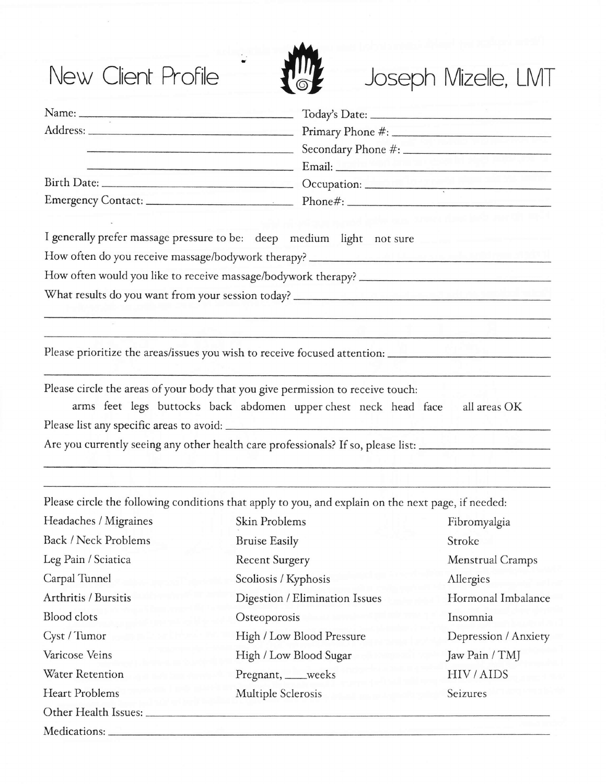## New Client Profile



## Joseph Mizelle, LMT

|                             | <u>Email: Email: Email: Email: Email: Email: Email: Email: Email: Email: Email: Email: Email: Email: Email: Email: Email: Email: Email: Email: Email: Email: Email: Email: Email: Email: Email: Email: Email: Email: Email: Emai</u> |                      |
|-----------------------------|--------------------------------------------------------------------------------------------------------------------------------------------------------------------------------------------------------------------------------------|----------------------|
|                             |                                                                                                                                                                                                                                      |                      |
|                             |                                                                                                                                                                                                                                      |                      |
|                             |                                                                                                                                                                                                                                      |                      |
|                             | I generally prefer massage pressure to be: deep medium light not sure                                                                                                                                                                |                      |
|                             | How often do you receive massage/bodywork therapy? ______________________________                                                                                                                                                    |                      |
|                             |                                                                                                                                                                                                                                      |                      |
|                             |                                                                                                                                                                                                                                      |                      |
|                             |                                                                                                                                                                                                                                      |                      |
|                             |                                                                                                                                                                                                                                      |                      |
|                             | Please prioritize the areas/issues you wish to receive focused attention: __________________________                                                                                                                                 |                      |
|                             |                                                                                                                                                                                                                                      |                      |
|                             | Please circle the areas of your body that you give permission to receive touch:<br>arms feet legs buttocks back abdomen upper chest neck head face                                                                                   | all areas OK         |
|                             |                                                                                                                                                                                                                                      |                      |
|                             | Are you currently seeing any other health care professionals? If so, please list: __________________                                                                                                                                 |                      |
|                             |                                                                                                                                                                                                                                      |                      |
|                             |                                                                                                                                                                                                                                      |                      |
|                             | Please circle the following conditions that apply to you, and explain on the next page, if needed:                                                                                                                                   |                      |
| Headaches / Migraines       | Skin Problems                                                                                                                                                                                                                        | Fibromyalgia         |
| <b>Back / Neck Problems</b> | <b>Bruise Easily</b>                                                                                                                                                                                                                 | Stroke               |
| Leg Pain / Sciatica         | <b>Recent Surgery</b>                                                                                                                                                                                                                | Menstrual Cramps     |
| Carpal Tunnel               | Scoliosis / Kyphosis                                                                                                                                                                                                                 | Allergies            |
| Arthritis / Bursitis        | Digestion / Elimination Issues                                                                                                                                                                                                       | Hormonal Imbalance   |
| <b>Blood</b> clots          | Osteoporosis                                                                                                                                                                                                                         | Insomnia             |
| Cyst / Tumor                | High / Low Blood Pressure                                                                                                                                                                                                            | Depression / Anxiety |
| Varicose Veins              | High / Low Blood Sugar                                                                                                                                                                                                               | Jaw Pain / TMJ       |
| Water Retention             | Pregnant, ___weeks                                                                                                                                                                                                                   | HIV/AIDS             |
| <b>Heart Problems</b>       | Multiple Sclerosis                                                                                                                                                                                                                   | Seizures             |
| Other Health Issues:        |                                                                                                                                                                                                                                      |                      |
|                             |                                                                                                                                                                                                                                      |                      |

Medications: \_